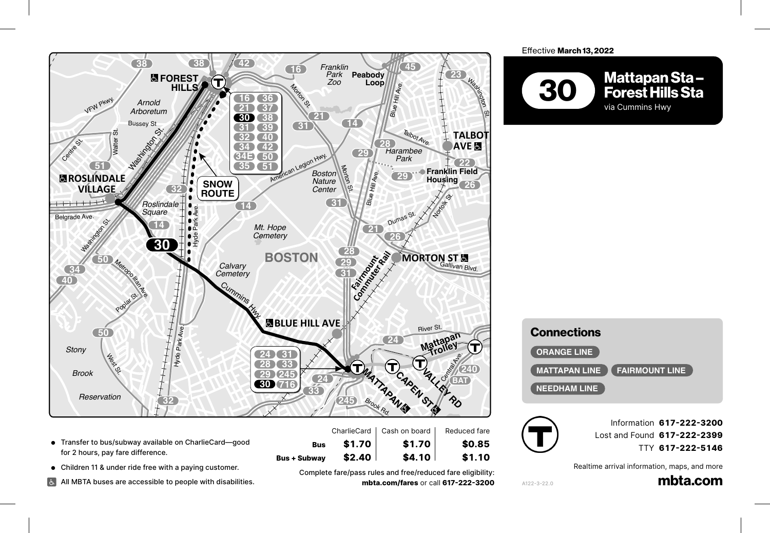

- Transfer to bus/subway available on CharlieCard—good<br>for 2 hours, pay fare difference. for 2 hours, pay fare difference. <sup>1</sup> Dedham Pkwy.
- Children 11 & under ride free with a paying customer.

Dedham Blvd.

All MBTA buses are accessible to people with disabilities.<br>**P** 

**Bus + Subway \$2.40 \$4.10 \$1.10**<br>Complete fare/pass rules and free/reduced fare eligibility<br>mbta com/fares.or.call 617-222-320 Complete fare/pass rules and free/reduced fare eligibility: **245 BAT mbta.com/fares** or call **617-222-3200 240** e<br>|<br>|<br>|

**Bus** 

**Bus \$1.70 \$1.70 \$0.85**

 $$4.10$ 

 $$1.10$ 

Effective March 13, 2022 **18 93**

**Red**



| <b>Connections</b>                            |  |
|-----------------------------------------------|--|
| <b>ORANGE LINE</b>                            |  |
| <b>MATTAPAN LINE</b><br><b>FAIRMOUNT LINE</b> |  |
| <b>NEEDHAM LINE</b>                           |  |



A122-3-22.0

 $AIZZ$ 

**Passed St. 2018**<br>Information **617-222-3200** Lost and Found **617-222-2399** TTY **617-222-5146** *Exit 10 Square*  $\mathbf{B}$ 

Realtime arrival information, maps, and more

<sub>on, maps, and more<br>**mbta.com**</sub> Robertson St.

Willard St.

Furnace Brook Pkwy.